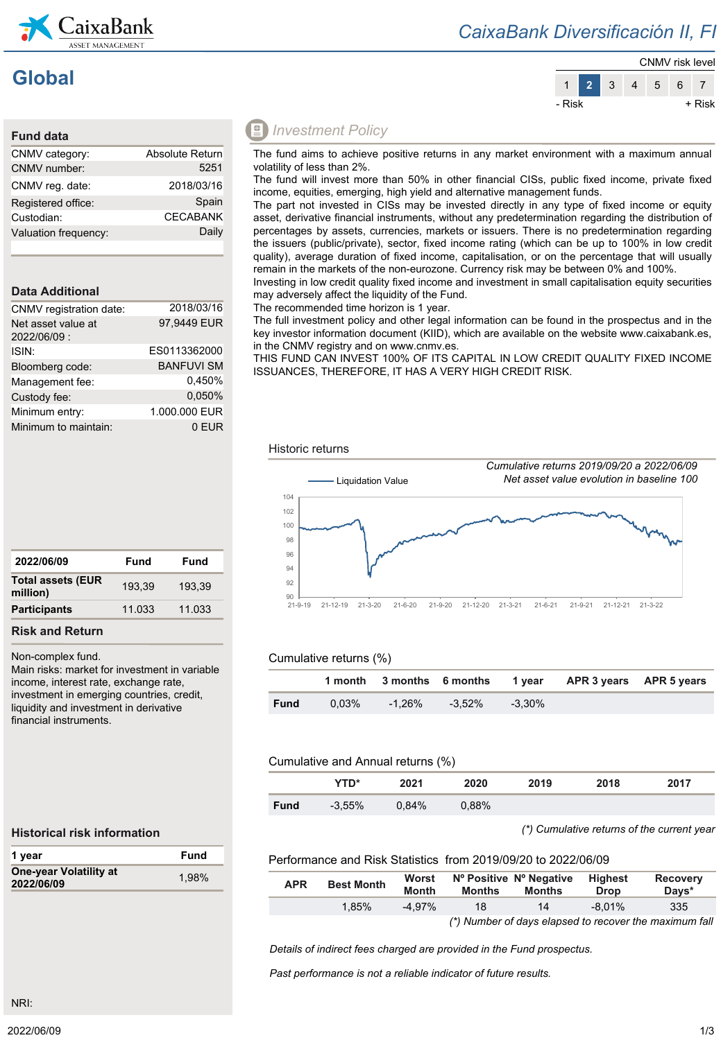

### *CaixaBank Diversificación II, FI*

# **Global**



| Absolute Return |
|-----------------|
| 5251            |
| 2018/03/16      |
| Spain           |
| <b>CECABANK</b> |
| Daily           |
|                 |

### **Data Additional**

| CNMV registration date:           | 2018/03/16        |
|-----------------------------------|-------------------|
| Net asset value at<br>2022/06/09: | 97.9449 EUR       |
| ISIN:                             | ES0113362000      |
| Bloomberg code:                   | <b>BANFUVI SM</b> |
| Management fee:                   | 0.450%            |
| Custody fee:                      | 0.050%            |
| Minimum entry:                    | 1.000.000 EUR     |
| Minimum to maintain:              | 0 EUR             |

### *<u></u> Investment Policy*

The fund aims to achieve positive returns in any market environment with a maximum annual volatility of less than 2%.

The fund will invest more than 50% in other financial CISs, public fixed income, private fixed income, equities, emerging, high yield and alternative management funds.

The part not invested in CISs may be invested directly in any type of fixed income or equity asset, derivative financial instruments, without any predetermination regarding the distribution of percentages by assets, currencies, markets or issuers. There is no predetermination regarding the issuers (public/private), sector, fixed income rating (which can be up to 100% in low credit quality), average duration of fixed income, capitalisation, or on the percentage that will usually remain in the markets of the non-eurozone. Currency risk may be between 0% and 100%.

Investing in low credit quality fixed income and investment in small capitalisation equity securities may adversely affect the liquidity of the Fund.

The recommended time horizon is 1 year.

The full investment policy and other legal information can be found in the prospectus and in the key investor information document (KIID), which are available on the website www.caixabank.es, in the CNMV registry and on www.cnmv.es.

THIS FUND CAN INVEST 100% OF ITS CAPITAL IN LOW CREDIT QUALITY FIXED INCOME ISSUANCES, THEREFORE, IT HAS A VERY HIGH CREDIT RISK.



#### Cumulative returns (%)

|             |          |        |        |           | 1 month 3 months 6 months 1 year APR 3 years APR 5 years |  |
|-------------|----------|--------|--------|-----------|----------------------------------------------------------|--|
| <b>Fund</b> | $0.03\%$ | -1.26% | -3.52% | $-3.30\%$ |                                                          |  |

#### Cumulative and Annual returns (%)

|             | YTD*      | 2021     | 2020  | 2019 | 2018 | 2017 |
|-------------|-----------|----------|-------|------|------|------|
| <b>Fund</b> | $-3.55\%$ | $0.84\%$ | 0.88% |      |      |      |

#### *(\*) Cumulative returns of the current year*

#### **Historical risk information**

Non-complex fund.

**Risk and Return**

**Total assets (EUR** 

financial instruments.

| 1 year                               | Fund  |
|--------------------------------------|-------|
| One-year Volatility at<br>2022/06/09 | 1.98% |

Main risks: market for investment in variable income, interest rate, exchange rate, investment in emerging countries, credit, liquidity and investment in derivative

**2022/06/09 Fund Fund**

**million)** 193,39 193,39 **Participants** 11.033 11.033

#### Performance and Risk Statistics from 2019/09/20 to 2022/06/09

| <b>APR</b> | <b>Best Month</b> | Worst<br><b>Month</b> | <b>Months</b> | Nº Positive Nº Negative<br><b>Months</b> | <b>Highest</b><br><b>Drop</b> | Recovery<br>Davs*                                      |
|------------|-------------------|-----------------------|---------------|------------------------------------------|-------------------------------|--------------------------------------------------------|
|            | $1.85\%$          | -4.97%                | 18            | 14                                       | $-8.01\%$                     | 335                                                    |
|            |                   |                       |               |                                          |                               | (*) Number of days elapsed to recover the maximum fall |

*Details of indirect fees charged are provided in the Fund prospectus.*

*Past performance is not a reliable indicator of future results.*

NRI: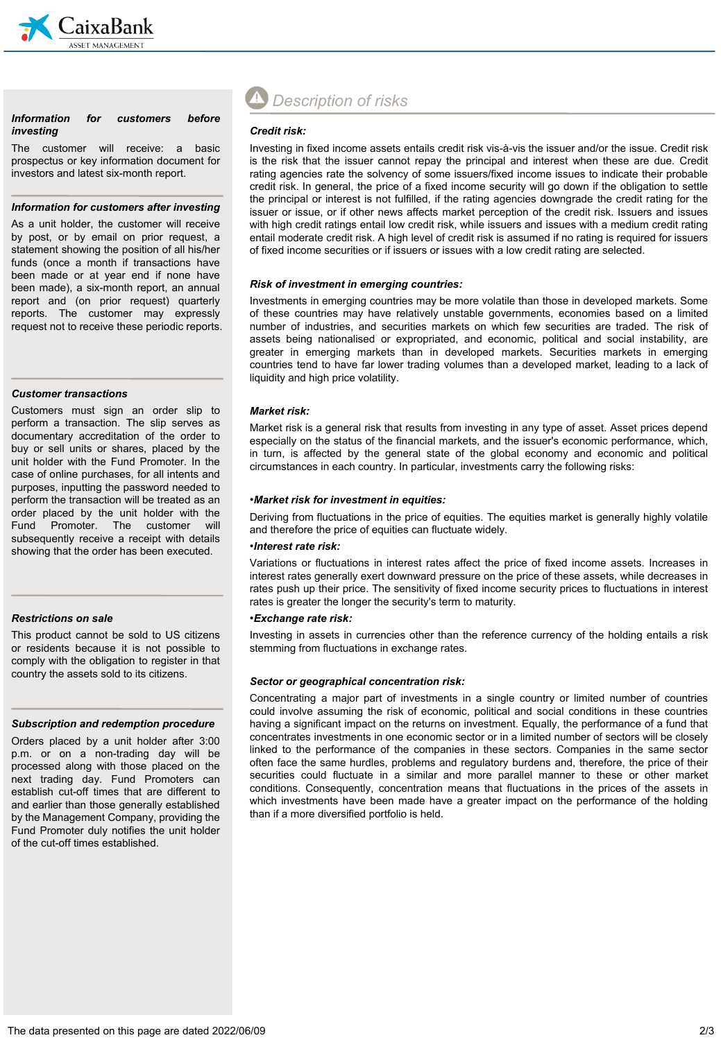

#### *Information for customers before investing*

The customer will receive: a basic prospectus or key information document for investors and latest six-month report.

#### *Information for customers after investing*

As a unit holder, the customer will receive by post, or by email on prior request, a statement showing the position of all his/her funds (once a month if transactions have been made or at year end if none have been made), a six-month report, an annual report and (on prior request) quarterly reports. The customer may expressly request not to receive these periodic reports.

#### *Customer transactions*

Customers must sign an order slip to perform a transaction. The slip serves as documentary accreditation of the order to buy or sell units or shares, placed by the unit holder with the Fund Promoter. In the case of online purchases, for all intents and purposes, inputting the password needed to perform the transaction will be treated as an order placed by the unit holder with the Fund Promoter. The customer will subsequently receive a receipt with details showing that the order has been executed.

#### *Restrictions on sale*

This product cannot be sold to US citizens or residents because it is not possible to comply with the obligation to register in that country the assets sold to its citizens.

#### *Subscription and redemption procedure*

Orders placed by a unit holder after 3:00 p.m. or on a non-trading day will be processed along with those placed on the next trading day. Fund Promoters can establish cut-off times that are different to and earlier than those generally established by the Management Company, providing the Fund Promoter duly notifies the unit holder of the cut-off times established.

## *Description of risks*

#### *Credit risk:*

Investing in fixed income assets entails credit risk vis-à-vis the issuer and/or the issue. Credit risk is the risk that the issuer cannot repay the principal and interest when these are due. Credit rating agencies rate the solvency of some issuers/fixed income issues to indicate their probable credit risk. In general, the price of a fixed income security will go down if the obligation to settle the principal or interest is not fulfilled, if the rating agencies downgrade the credit rating for the issuer or issue, or if other news affects market perception of the credit risk. Issuers and issues with high credit ratings entail low credit risk, while issuers and issues with a medium credit rating entail moderate credit risk. A high level of credit risk is assumed if no rating is required for issuers of fixed income securities or if issuers or issues with a low credit rating are selected.

#### *Risk of investment in emerging countries:*

Investments in emerging countries may be more volatile than those in developed markets. Some of these countries may have relatively unstable governments, economies based on a limited number of industries, and securities markets on which few securities are traded. The risk of assets being nationalised or expropriated, and economic, political and social instability, are greater in emerging markets than in developed markets. Securities markets in emerging countries tend to have far lower trading volumes than a developed market, leading to a lack of liquidity and high price volatility.

#### *Market risk:*

Market risk is a general risk that results from investing in any type of asset. Asset prices depend especially on the status of the financial markets, and the issuer's economic performance, which, in turn, is affected by the general state of the global economy and economic and political circumstances in each country. In particular, investments carry the following risks:

#### •*Market risk for investment in equities:*

Deriving from fluctuations in the price of equities. The equities market is generally highly volatile and therefore the price of equities can fluctuate widely.

#### •*Interest rate risk:*

Variations or fluctuations in interest rates affect the price of fixed income assets. Increases in interest rates generally exert downward pressure on the price of these assets, while decreases in rates push up their price. The sensitivity of fixed income security prices to fluctuations in interest rates is greater the longer the security's term to maturity.

#### •*Exchange rate risk:*

Investing in assets in currencies other than the reference currency of the holding entails a risk stemming from fluctuations in exchange rates.

#### *Sector or geographical concentration risk:*

Concentrating a major part of investments in a single country or limited number of countries could involve assuming the risk of economic, political and social conditions in these countries having a significant impact on the returns on investment. Equally, the performance of a fund that concentrates investments in one economic sector or in a limited number of sectors will be closely linked to the performance of the companies in these sectors. Companies in the same sector often face the same hurdles, problems and regulatory burdens and, therefore, the price of their securities could fluctuate in a similar and more parallel manner to these or other market conditions. Consequently, concentration means that fluctuations in the prices of the assets in which investments have been made have a greater impact on the performance of the holding than if a more diversified portfolio is held.